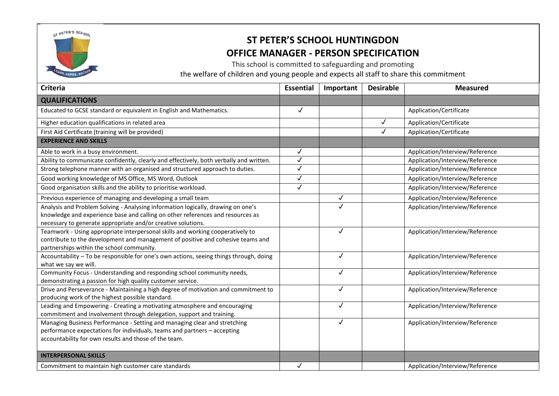

## **ST PETER'S SCHOOL HUNTINGDON OFFICE MANAGER - PERSON SPECIFICATION**

This school is committed to safeguarding and promoting

the welfare of children and young people and expects all staff to share this commitment

| <b>Criteria</b>                                                                                                                                                                                                                    | <b>Essential</b> | Important    | <b>Desirable</b> | <b>Measured</b>                 |
|------------------------------------------------------------------------------------------------------------------------------------------------------------------------------------------------------------------------------------|------------------|--------------|------------------|---------------------------------|
| <b>QUALIFICATIONS</b>                                                                                                                                                                                                              |                  |              |                  |                                 |
| Educated to GCSE standard or equivalent in English and Mathematics.                                                                                                                                                                | $\checkmark$     |              |                  | Application/Certificate         |
| Higher education qualifications in related area                                                                                                                                                                                    |                  |              | $\checkmark$     | Application/Certificate         |
| First Aid Certificate (training will be provided)                                                                                                                                                                                  |                  |              | $\checkmark$     | Application/Certificate         |
| <b>EXPERIENCE AND SKILLS</b>                                                                                                                                                                                                       |                  |              |                  |                                 |
| Able to work in a busy environment.                                                                                                                                                                                                | ✓                |              |                  | Application/Interview/Reference |
| Ability to communicate confidently, clearly and effectively, both verbally and written.                                                                                                                                            | $\checkmark$     |              |                  | Application/Interview/Reference |
| Strong telephone manner with an organised and structured approach to duties.                                                                                                                                                       | $\checkmark$     |              |                  | Application/Interview/Reference |
| Good working knowledge of MS Office, MS Word, Outlook                                                                                                                                                                              | √                |              |                  | Application/Interview/Reference |
| Good organisation skills and the ability to prioritise workload.                                                                                                                                                                   | $\checkmark$     |              |                  | Application/Interview/Reference |
| Previous experience of managing and developing a small team                                                                                                                                                                        |                  | √            |                  | Application/Interview/Reference |
| Analysis and Problem Solving - Analysing information logically, drawing on one's<br>knowledge and experience base and calling on other references and resources as<br>necessary to generate appropriate and/or creative solutions. |                  |              |                  | Application/Interview/Reference |
| Teamwork - Using appropriate interpersonal skills and working cooperatively to<br>contribute to the development and management of positive and cohesive teams and<br>partnerships within the school community.                     |                  | $\checkmark$ |                  | Application/Interview/Reference |
| Accountability - To be responsible for one's own actions, seeing things through, doing<br>what we say we will.                                                                                                                     |                  | $\checkmark$ |                  | Application/Interview/Reference |
| Community Focus - Understanding and responding school community needs,<br>demonstrating a passion for high quality customer service.                                                                                               |                  | ✓            |                  | Application/Interview/Reference |
| Drive and Perseverance - Maintaining a high degree of motivation and commitment to<br>producing work of the highest possible standard.                                                                                             |                  | $\checkmark$ |                  | Application/Interview/Reference |
| Leading and Empowering - Creating a motivating atmosphere and encouraging<br>commitment and involvement through delegation, support and training.                                                                                  |                  | $\checkmark$ |                  | Application/Interview/Reference |
| Managing Business Performance - Setting and managing clear and stretching<br>performance expectations for individuals, teams and partners - accepting<br>accountability for own results and those of the team.                     |                  | $\checkmark$ |                  | Application/Interview/Reference |
| <b>INTERPERSONAL SKILLS</b>                                                                                                                                                                                                        |                  |              |                  |                                 |
| Commitment to maintain high customer care standards                                                                                                                                                                                | √                |              |                  | Application/Interview/Reference |